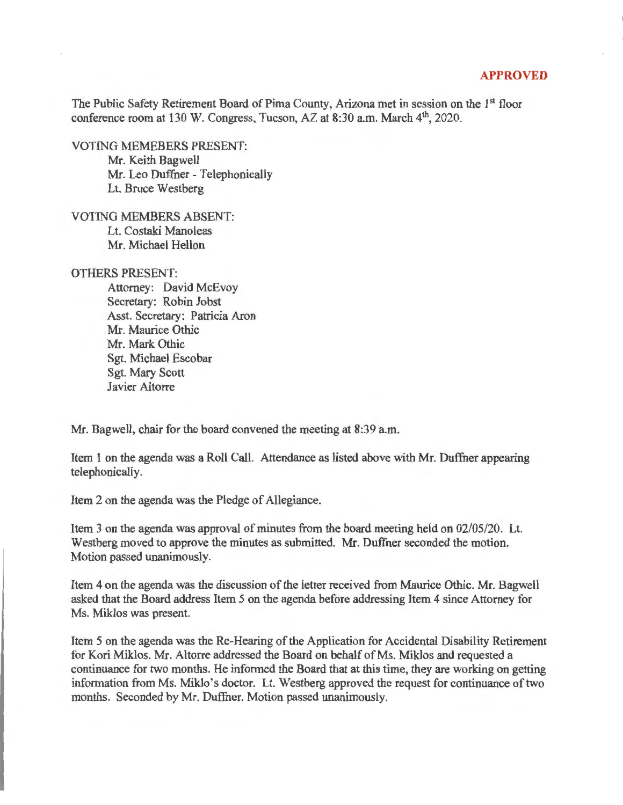## **APPROVED**

The Public Safety Retirement Board of Pima County, Arizona met in session on the 1st floor conference room at 130 W. Congress, Tucson, AZ at 8:30 a.m. March 4<sup>th</sup>, 2020.

VOTING MEMEBERS PRESENT: Mr. Keith Bagwell Mr. Leo Duffner - Telephonically Lt. Bruce Westberg

VOTING MEMBERS ABSENT: Lt. Costaki Manoleas Mr. Michael Hellon

OTHERS PRESENT:

Attorney: David McEvoy Secretary: Robin Jobst Asst. Secretary: Patricia Aron Mr. Maurice Othic Mr. Mark Othic Sgt. Michael Escobar Sgt. Mary Scott Javier Altorre

Mr. Bagwell, chair for the board convened the meeting at 8:39 a.m.

Item 1 on the agenda was a Roll Call. Attendance as listed above with Mr. Duffner appearing telephonically.

Item 2 on the agenda was the Pledge of Allegiance.

Item 3 on the agenda was approval of minutes from the board meeting held on 02/05/20. Lt. Westberg moved to approve the minutes as submitted. Mr. Duffner seconded the motion. Motion passed unanimously.

Item 4 on the agenda was the discussion of the letter received from Maurice Othic. Mr. Bagwell asked that the Board address Item 5 on the agenda before addressing Item 4 since Attorney for Ms. Miklos was present.

Item 5 on the agenda was the Re-Hearing of the Application for Accidental Disability Retirement for Kori Miklos. Mr. Altorre addressed the Board on behalf of Ms. Miklos and requested a continuance for two months. He informed the Board that at this time, they are working on getting information from Ms. Miklo 's doctor. Lt. Westberg approved the request for continuance of two months. Seconded by Mr. Duffner. Motion passed unanimously.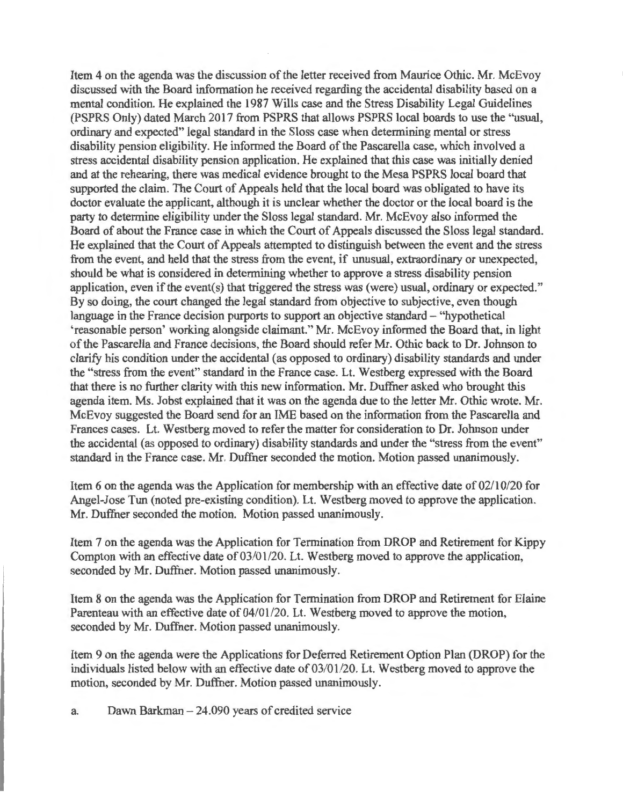Item 4 on the agenda was the discussion of the letter received from Maurice Othic. Mr. McEvoy discussed with the Board information he received regarding the accidental disability based on a mental condition. He explained the 1987 Wills case and the Stress Disability Legal Guidelines (PSPRS Only) dated March 2017 from PSPRS that allows PSPRS local boards to use the "usual, ordinary and expected" legal standard in the Sloss case when determining mental or stress disability pension eligibility. He informed the Board of the Pascarella case, which involved a stress accidental disability pension application. He explained that this case was initially denied and at the rehearing, there was medical evidence brought to the Mesa PSPRS local board that supported the claim. The Court of Appeals held that the local board was obligated to have its doctor evaluate the applicant, although it is unclear whether the doctor or the local board is the party to determine eligibility under the Sloss legal standard. Mr. McEvoy also informed the Board of about the France case in which the Court of Appeals discussed the Sloss legal standard. He explained that the Court of Appeals attempted to distinguish between the event and the stress from the event, and held that the stress from the event, if unusual, extraordinary or unexpected, should be what is considered in determining whether to approve a stress disability pension application, even if the event(s) that triggered the stress was (were) usual, ordinary or expected." By so doing, the court changed the legal standard from objective to subjective, even though language in the France decision purports to support an objective standard – "hypothetical 'reasonable person' working alongside claimant." Mr. McEvoy informed the Board that, in light of the Pascarella and France decisions, the Board should refer Mr. Othic back to Dr. Johnson to clarify his condition under the accidental (as opposed to ordinary) disability standards and under the "stress from the event" standard in the France case. Lt. Westberg expressed with the Board that there is no further clarity with this new information. Mr. Duffner asked who brought this agenda item. Ms. Jobst explained that it was on the agenda due to the letter Mr. Othic wrote. Mr. McEvoy suggested the Board send for an IME based on the information from the Pascarella and Frances cases. Lt. Westberg moved to refer the matter for consideration to Dr. Johnson under the accidental (as opposed to ordinary) disability standards and under the "stress from the event" standard in the France case. Mr. Duffner seconded the motion. Motion passed unanimously.

Item 6 on the agenda was the Application for membership with an effective date of 02/10/20 for Angel-Jose Tun (noted pre-existing condition). Lt. Westberg moved to approve the application. Mr. Duffner seconded the motion. Motion passed unanimously.

Item 7 on the agenda was the Application for Termination from DROP and Retirement for Kippy Compton with an effective date of 03/01/20. Lt. Westberg moved to approve the application, seconded by Mr. Duffner. Motion passed unanimously.

Item 8 on the agenda was the Application for Termination from DROP and Retirement for Elaine Parenteau with an effective date of 04/01/20. Lt. Westberg moved to approve the motion, seconded by Mr. Duffner. Motion passed unanimously.

Item 9 on the agenda were the Applications for Deferred Retirement Option Plan (DROP) for the individuals listed below with an effective date of 03/01/20. Lt. Westberg moved to approve the motion, seconded by Mr. Duffner. Motion passed unanimously.

a. Dawn Barkman  $-24.090$  years of credited service